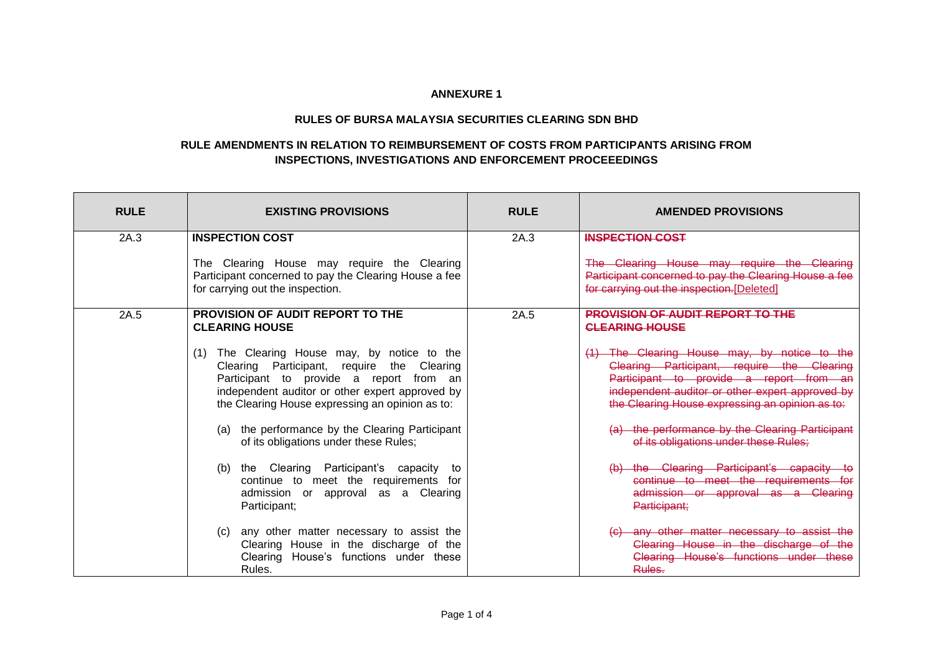## **ANNEXURE 1**

## **RULES OF BURSA MALAYSIA SECURITIES CLEARING SDN BHD**

## **RULE AMENDMENTS IN RELATION TO REIMBURSEMENT OF COSTS FROM PARTICIPANTS ARISING FROM INSPECTIONS, INVESTIGATIONS AND ENFORCEMENT PROCEEEDINGS**

| <b>RULE</b> | <b>EXISTING PROVISIONS</b>                                                                                                                                                                                                                                                                           | <b>RULE</b> | <b>AMENDED PROVISIONS</b>                                                                                                                                                                                                                                                                   |
|-------------|------------------------------------------------------------------------------------------------------------------------------------------------------------------------------------------------------------------------------------------------------------------------------------------------------|-------------|---------------------------------------------------------------------------------------------------------------------------------------------------------------------------------------------------------------------------------------------------------------------------------------------|
| 2A.3        | <b>INSPECTION COST</b>                                                                                                                                                                                                                                                                               | 2A.3        | <b>INSPECTION COST</b>                                                                                                                                                                                                                                                                      |
|             | The Clearing House may require the Clearing<br>Participant concerned to pay the Clearing House a fee<br>for carrying out the inspection.                                                                                                                                                             |             | The Clearing House may require the Clearing<br>Participant concerned to pay the Clearing House a fee<br>for carrying out the inspection.[Deleted]                                                                                                                                           |
| 2A.5        | <b>PROVISION OF AUDIT REPORT TO THE</b><br><b>CLEARING HOUSE</b>                                                                                                                                                                                                                                     | 2A.5        | <b>PROVISION OF AUDIT REPORT TO THE</b><br><b>CLEARING HOUSE</b>                                                                                                                                                                                                                            |
|             | The Clearing House may, by notice to the<br>(1)<br>Clearing Participant, require the Clearing<br>Participant to provide a report from an<br>independent auditor or other expert approved by<br>the Clearing House expressing an opinion as to:<br>the performance by the Clearing Participant<br>(a) |             | (1) The Clearing House may, by notice to the<br>Clearing Participant, require the Clearing<br>Participant to provide a report from<br>independent auditor or other expert approved by<br>the Clearing House expressing an opinion as to:<br>(a) the performance by the Clearing Participant |
|             | of its obligations under these Rules;<br>the Clearing Participant's capacity<br>to<br>(b)<br>continue to meet the requirements for<br>admission or approval as a Clearing<br>Participant;                                                                                                            |             | of its obligations under these Rules;<br>(b) the Clearing Participant's capacity<br>continue to meet the requirements for<br>admission or approval as a Clearing<br>Participant;                                                                                                            |
|             | any other matter necessary to assist the<br>(C)<br>Clearing House in the discharge of the<br>Clearing House's functions under these<br>Rules.                                                                                                                                                        |             | (c) any other matter necessary to assist the<br>Clearing House in the discharge of the<br>Clearing House's functions under these<br>Rules.                                                                                                                                                  |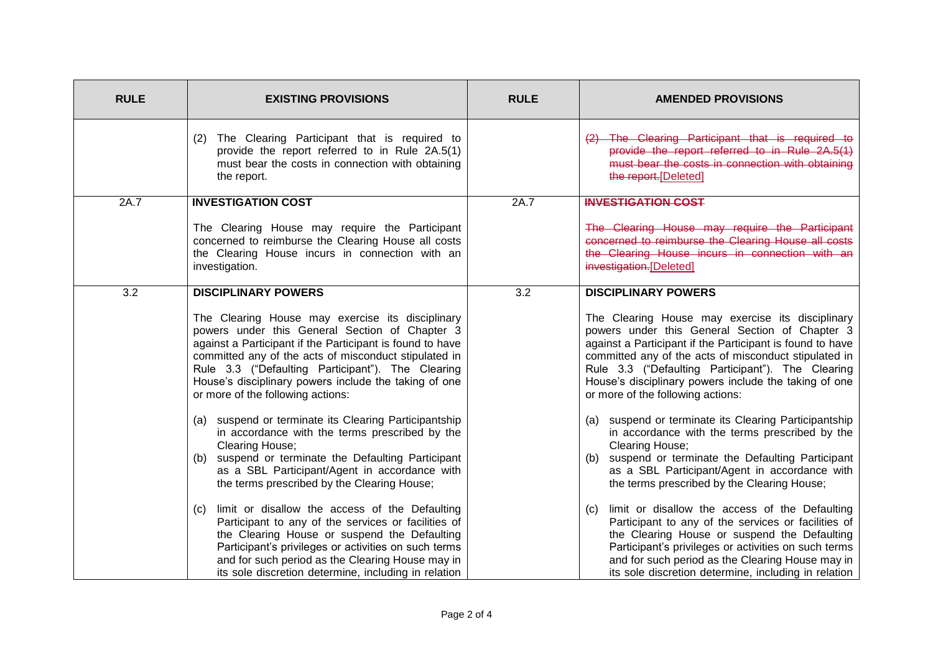| <b>RULE</b> | <b>EXISTING PROVISIONS</b>                                                                                                                                                                                                                                                                                                                                                                                                                                                                                                                                                                                                                                                                                                                                                                                                                                                                                                                                                                                                                   | <b>RULE</b> | <b>AMENDED PROVISIONS</b>                                                                                                                                                                                                                                                                                                                                                                                                                                                                                                                                                                                                                                                                                                                                                                                                                                                                                                                                                                                                                       |
|-------------|----------------------------------------------------------------------------------------------------------------------------------------------------------------------------------------------------------------------------------------------------------------------------------------------------------------------------------------------------------------------------------------------------------------------------------------------------------------------------------------------------------------------------------------------------------------------------------------------------------------------------------------------------------------------------------------------------------------------------------------------------------------------------------------------------------------------------------------------------------------------------------------------------------------------------------------------------------------------------------------------------------------------------------------------|-------------|-------------------------------------------------------------------------------------------------------------------------------------------------------------------------------------------------------------------------------------------------------------------------------------------------------------------------------------------------------------------------------------------------------------------------------------------------------------------------------------------------------------------------------------------------------------------------------------------------------------------------------------------------------------------------------------------------------------------------------------------------------------------------------------------------------------------------------------------------------------------------------------------------------------------------------------------------------------------------------------------------------------------------------------------------|
|             | (2) The Clearing Participant that is required to<br>provide the report referred to in Rule 2A.5(1)<br>must bear the costs in connection with obtaining<br>the report.                                                                                                                                                                                                                                                                                                                                                                                                                                                                                                                                                                                                                                                                                                                                                                                                                                                                        |             | The Clearing Participant that is required to<br>provide the report referred to in Rule 2A.5(1)<br>must bear the costs in connection with obtaining<br>the report. [Deleted]                                                                                                                                                                                                                                                                                                                                                                                                                                                                                                                                                                                                                                                                                                                                                                                                                                                                     |
| 2A.7        | <b>INVESTIGATION COST</b><br>The Clearing House may require the Participant<br>concerned to reimburse the Clearing House all costs<br>the Clearing House incurs in connection with an<br>investigation.                                                                                                                                                                                                                                                                                                                                                                                                                                                                                                                                                                                                                                                                                                                                                                                                                                      | 2A.7        | <b>INVESTIGATION COST</b><br>The Clearing House may require the Participant<br>concerned to reimburse the Clearing House all costs<br>the Clearing House incurs in connection with an<br>investigation.[Deleted]                                                                                                                                                                                                                                                                                                                                                                                                                                                                                                                                                                                                                                                                                                                                                                                                                                |
| 3.2         | <b>DISCIPLINARY POWERS</b><br>The Clearing House may exercise its disciplinary<br>powers under this General Section of Chapter 3<br>against a Participant if the Participant is found to have<br>committed any of the acts of misconduct stipulated in<br>Rule 3.3 ("Defaulting Participant"). The Clearing<br>House's disciplinary powers include the taking of one<br>or more of the following actions:<br>(a) suspend or terminate its Clearing Participantship<br>in accordance with the terms prescribed by the<br><b>Clearing House:</b><br>suspend or terminate the Defaulting Participant<br>(b)<br>as a SBL Participant/Agent in accordance with<br>the terms prescribed by the Clearing House;<br>limit or disallow the access of the Defaulting<br>(C)<br>Participant to any of the services or facilities of<br>the Clearing House or suspend the Defaulting<br>Participant's privileges or activities on such terms<br>and for such period as the Clearing House may in<br>its sole discretion determine, including in relation | 3.2         | <b>DISCIPLINARY POWERS</b><br>The Clearing House may exercise its disciplinary<br>powers under this General Section of Chapter 3<br>against a Participant if the Participant is found to have<br>committed any of the acts of misconduct stipulated in<br>Rule 3.3 ("Defaulting Participant"). The Clearing<br>House's disciplinary powers include the taking of one<br>or more of the following actions:<br>suspend or terminate its Clearing Participantship<br>(a)<br>in accordance with the terms prescribed by the<br><b>Clearing House:</b><br>suspend or terminate the Defaulting Participant<br>(b)<br>as a SBL Participant/Agent in accordance with<br>the terms prescribed by the Clearing House;<br>limit or disallow the access of the Defaulting<br>(C)<br>Participant to any of the services or facilities of<br>the Clearing House or suspend the Defaulting<br>Participant's privileges or activities on such terms<br>and for such period as the Clearing House may in<br>its sole discretion determine, including in relation |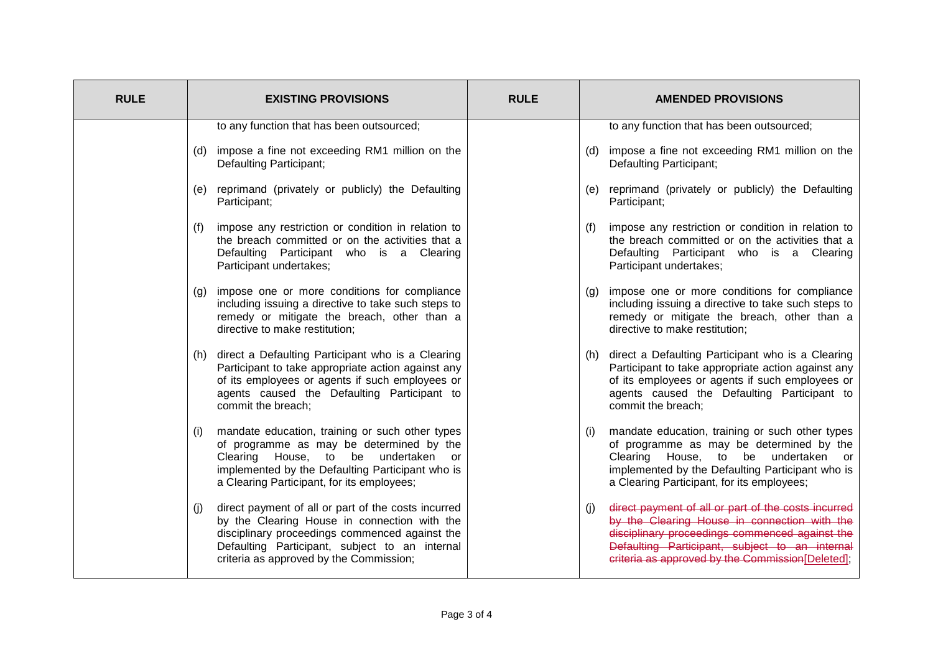| <b>RULE</b> | <b>EXISTING PROVISIONS</b>                                                                                                                                                                                                                                | <b>RULE</b> | <b>AMENDED PROVISIONS</b>                                                                                                                                                                                                                                          |
|-------------|-----------------------------------------------------------------------------------------------------------------------------------------------------------------------------------------------------------------------------------------------------------|-------------|--------------------------------------------------------------------------------------------------------------------------------------------------------------------------------------------------------------------------------------------------------------------|
|             | to any function that has been outsourced;                                                                                                                                                                                                                 |             | to any function that has been outsourced;                                                                                                                                                                                                                          |
|             | (d) impose a fine not exceeding RM1 million on the<br><b>Defaulting Participant;</b>                                                                                                                                                                      |             | impose a fine not exceeding RM1 million on the<br>(d)<br>Defaulting Participant;                                                                                                                                                                                   |
|             | reprimand (privately or publicly) the Defaulting<br>(e)<br>Participant;                                                                                                                                                                                   |             | reprimand (privately or publicly) the Defaulting<br>(e)<br>Participant;                                                                                                                                                                                            |
|             | impose any restriction or condition in relation to<br>(f)<br>the breach committed or on the activities that a<br>Defaulting Participant who is a Clearing<br>Participant undertakes;                                                                      |             | impose any restriction or condition in relation to<br>(f)<br>the breach committed or on the activities that a<br>Defaulting Participant who is a Clearing<br>Participant undertakes;                                                                               |
|             | impose one or more conditions for compliance<br>(g)<br>including issuing a directive to take such steps to<br>remedy or mitigate the breach, other than a<br>directive to make restitution;                                                               |             | impose one or more conditions for compliance<br>(q)<br>including issuing a directive to take such steps to<br>remedy or mitigate the breach, other than a<br>directive to make restitution;                                                                        |
|             | (h) direct a Defaulting Participant who is a Clearing<br>Participant to take appropriate action against any<br>of its employees or agents if such employees or<br>agents caused the Defaulting Participant to<br>commit the breach;                       |             | direct a Defaulting Participant who is a Clearing<br>(h)<br>Participant to take appropriate action against any<br>of its employees or agents if such employees or<br>agents caused the Defaulting Participant to<br>commit the breach;                             |
|             | mandate education, training or such other types<br>(i)<br>of programme as may be determined by the<br>Clearing House, to be undertaken<br>or<br>implemented by the Defaulting Participant who is<br>a Clearing Participant, for its employees;            |             | mandate education, training or such other types<br>(i)<br>of programme as may be determined by the<br>Clearing House, to be undertaken or<br>implemented by the Defaulting Participant who is<br>a Clearing Participant, for its employees;                        |
|             | direct payment of all or part of the costs incurred<br>(j)<br>by the Clearing House in connection with the<br>disciplinary proceedings commenced against the<br>Defaulting Participant, subject to an internal<br>criteria as approved by the Commission; |             | direct payment of all or part of the costs incurred<br>(j)<br>by the Clearing House in connection with the<br>disciplinary proceedings commenced against the<br>Defaulting Participant, subject to an internal<br>criteria as approved by the Commission[Deleted]; |